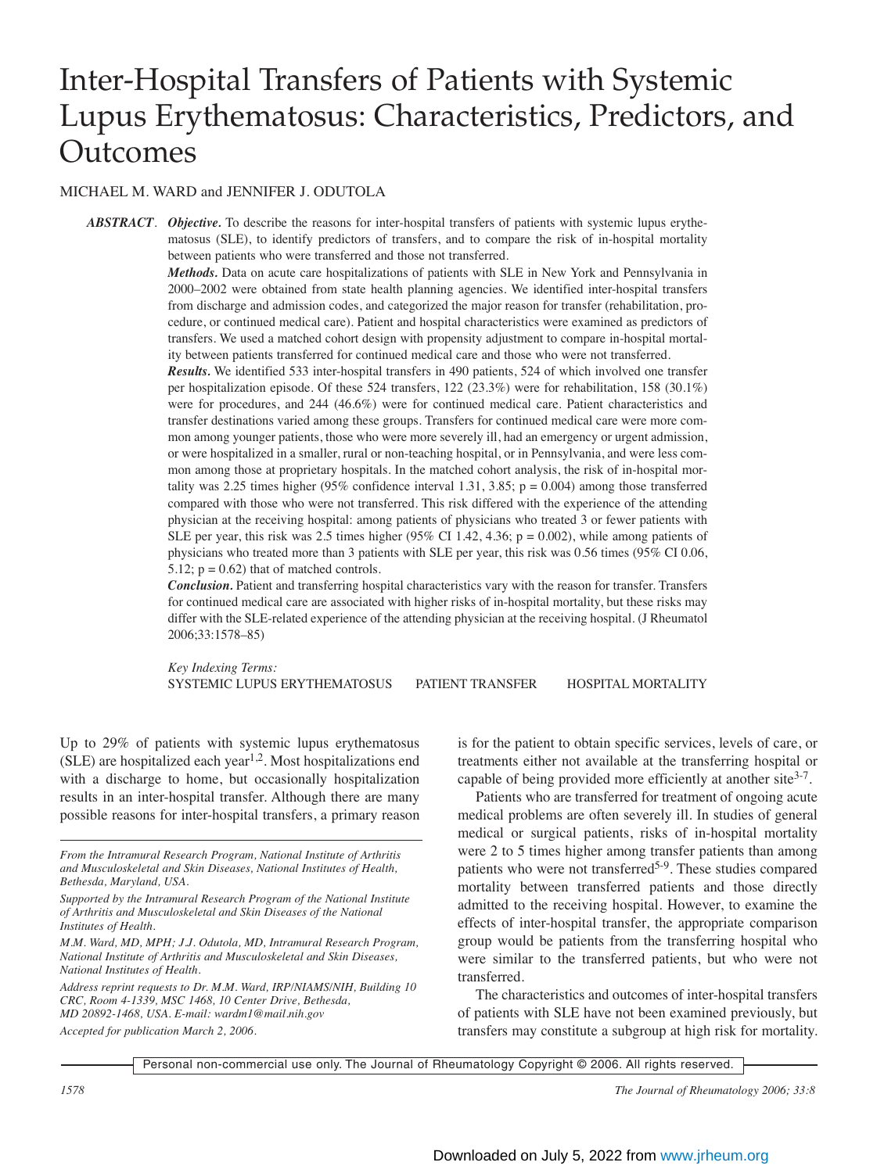# Inter-Hospital Transfers of Patients with Systemic Lupus Erythematosus: Characteristics, Predictors, and **Outcomes**

# MICHAEL M. WARD and JENNIFER J. ODUTOLA

*ABSTRACT*. *Objective.* To describe the reasons for inter-hospital transfers of patients with systemic lupus erythematosus (SLE), to identify predictors of transfers, and to compare the risk of in-hospital mortality between patients who were transferred and those not transferred.

> *Methods.* Data on acute care hospitalizations of patients with SLE in New York and Pennsylvania in 2000–2002 were obtained from state health planning agencies. We identified inter-hospital transfers from discharge and admission codes, and categorized the major reason for transfer (rehabilitation, procedure, or continued medical care). Patient and hospital characteristics were examined as predictors of transfers. We used a matched cohort design with propensity adjustment to compare in-hospital mortality between patients transferred for continued medical care and those who were not transferred.

> *Results.* We identified 533 inter-hospital transfers in 490 patients, 524 of which involved one transfer per hospitalization episode. Of these 524 transfers, 122 (23.3%) were for rehabilitation, 158 (30.1%) were for procedures, and 244 (46.6%) were for continued medical care. Patient characteristics and transfer destinations varied among these groups. Transfers for continued medical care were more common among younger patients, those who were more severely ill, had an emergency or urgent admission, or were hospitalized in a smaller, rural or non-teaching hospital, or in Pennsylvania, and were less common among those at proprietary hospitals. In the matched cohort analysis, the risk of in-hospital mortality was 2.25 times higher (95% confidence interval 1.31, 3.85;  $p = 0.004$ ) among those transferred compared with those who were not transferred. This risk differed with the experience of the attending physician at the receiving hospital: among patients of physicians who treated 3 or fewer patients with SLE per year, this risk was 2.5 times higher (95% CI 1.42, 4.36;  $p = 0.002$ ), while among patients of physicians who treated more than 3 patients with SLE per year, this risk was 0.56 times (95% CI 0.06, 5.12;  $p = 0.62$ ) that of matched controls.

> *Conclusion.* Patient and transferring hospital characteristics vary with the reason for transfer. Transfers for continued medical care are associated with higher risks of in-hospital mortality, but these risks may differ with the SLE-related experience of the attending physician at the receiving hospital. (J Rheumatol 2006;33:1578–85)

> *Key Indexing Terms:*  SYSTEMIC LUPUS ERYTHEMATOSUS PATIENT TRANSFER HOSPITAL MORTALITY

Up to 29% of patients with systemic lupus erythematosus  $(SLE)$  are hospitalized each year<sup>1,2</sup>. Most hospitalizations end with a discharge to home, but occasionally hospitalization results in an inter-hospital transfer. Although there are many possible reasons for inter-hospital transfers, a primary reason

*From the Intramural Research Program, National Institute of Arthritis and Musculoskeletal and Skin Diseases, National Institutes of Health, Bethesda, Maryland, USA.*

*Supported by the Intramural Research Program of the National Institute of Arthritis and Musculoskeletal and Skin Diseases of the National Institutes of Health.*

*Address reprint requests to Dr. M.M. Ward, IRP/NIAMS/NIH, Building 10 CRC, Room 4-1339, MSC 1468, 10 Center Drive, Bethesda, MD 20892-1468, USA. E-mail: wardm1@mail.nih.gov Accepted for publication March 2, 2006.*

is for the patient to obtain specific services, levels of care, or treatments either not available at the transferring hospital or capable of being provided more efficiently at another site $3-7$ .

Patients who are transferred for treatment of ongoing acute medical problems are often severely ill. In studies of general medical or surgical patients, risks of in-hospital mortality were 2 to 5 times higher among transfer patients than among patients who were not transferred<sup>5-9</sup>. These studies compared mortality between transferred patients and those directly admitted to the receiving hospital. However, to examine the effects of inter-hospital transfer, the appropriate comparison group would be patients from the transferring hospital who were similar to the transferred patients, but who were not transferred.

The characteristics and outcomes of inter-hospital transfers of patients with SLE have not been examined previously, but transfers may constitute a subgroup at high risk for mortality.

Personal non-commercial use only. The Journal of Rheumatology Copyright © 2006. All rights reserved.

*1578 The Journal of Rheumatology 2006; 33:8*

*M.M. Ward, MD, MPH; J.J. Odutola, MD, Intramural Research Program, National Institute of Arthritis and Musculoskeletal and Skin Diseases, National Institutes of Health.*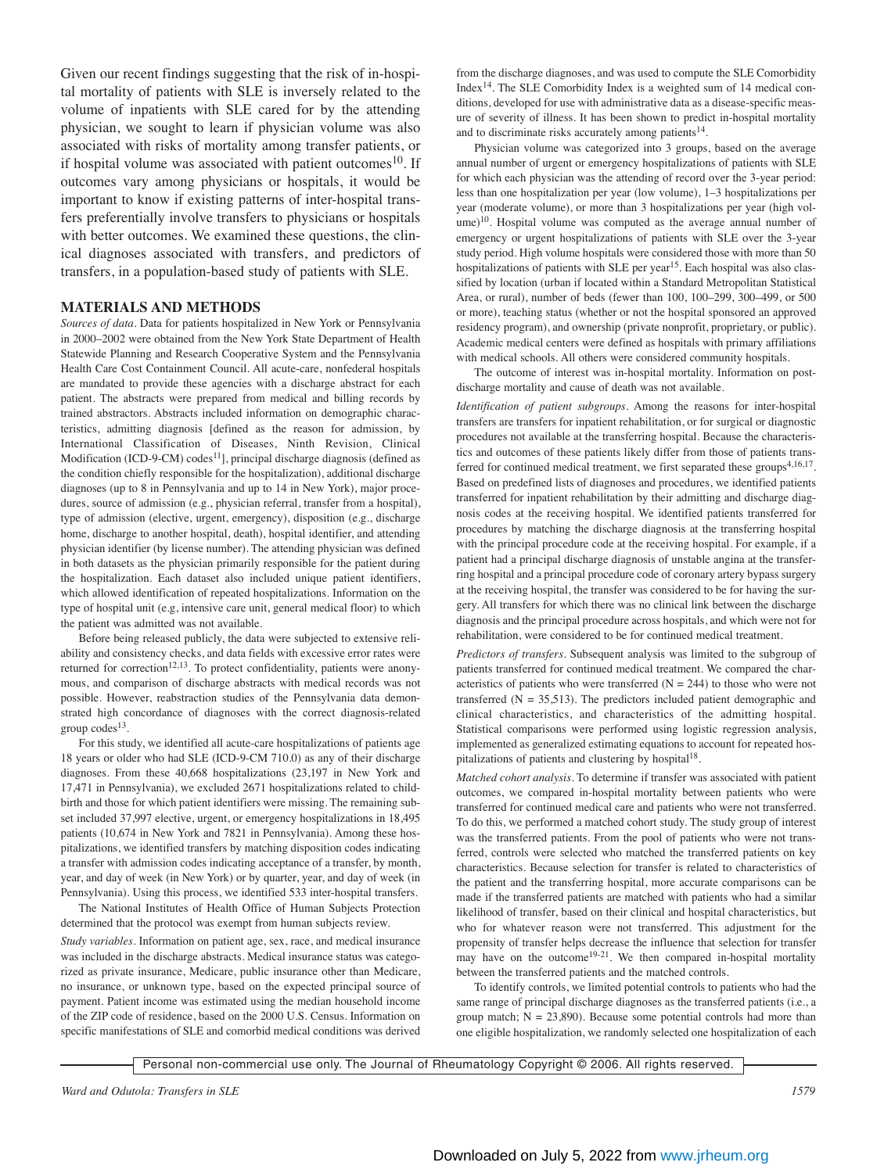Given our recent findings suggesting that the risk of in-hospital mortality of patients with SLE is inversely related to the volume of inpatients with SLE cared for by the attending physician, we sought to learn if physician volume was also associated with risks of mortality among transfer patients, or if hospital volume was associated with patient outcomes<sup>10</sup>. If outcomes vary among physicians or hospitals, it would be important to know if existing patterns of inter-hospital transfers preferentially involve transfers to physicians or hospitals with better outcomes. We examined these questions, the clinical diagnoses associated with transfers, and predictors of transfers, in a population-based study of patients with SLE.

## **MATERIALS AND METHODS**

*Sources of data.* Data for patients hospitalized in New York or Pennsylvania in 2000–2002 were obtained from the New York State Department of Health Statewide Planning and Research Cooperative System and the Pennsylvania Health Care Cost Containment Council. All acute-care, nonfederal hospitals are mandated to provide these agencies with a discharge abstract for each patient. The abstracts were prepared from medical and billing records by trained abstractors. Abstracts included information on demographic characteristics, admitting diagnosis [defined as the reason for admission, by International Classification of Diseases, Ninth Revision, Clinical Modification (ICD-9-CM) codes<sup>11</sup>], principal discharge diagnosis (defined as the condition chiefly responsible for the hospitalization), additional discharge diagnoses (up to 8 in Pennsylvania and up to 14 in New York), major procedures, source of admission (e.g., physician referral, transfer from a hospital), type of admission (elective, urgent, emergency), disposition (e.g., discharge home, discharge to another hospital, death), hospital identifier, and attending physician identifier (by license number). The attending physician was defined in both datasets as the physician primarily responsible for the patient during the hospitalization. Each dataset also included unique patient identifiers, which allowed identification of repeated hospitalizations. Information on the type of hospital unit (e.g, intensive care unit, general medical floor) to which the patient was admitted was not available.

Before being released publicly, the data were subjected to extensive reliability and consistency checks, and data fields with excessive error rates were returned for correction<sup>12,13</sup>. To protect confidentiality, patients were anonymous, and comparison of discharge abstracts with medical records was not possible. However, reabstraction studies of the Pennsylvania data demonstrated high concordance of diagnoses with the correct diagnosis-related group  $codes<sup>13</sup>$ .

For this study, we identified all acute-care hospitalizations of patients age 18 years or older who had SLE (ICD-9-CM 710.0) as any of their discharge diagnoses. From these 40,668 hospitalizations (23,197 in New York and 17,471 in Pennsylvania), we excluded 2671 hospitalizations related to childbirth and those for which patient identifiers were missing. The remaining subset included 37,997 elective, urgent, or emergency hospitalizations in 18,495 patients (10,674 in New York and 7821 in Pennsylvania). Among these hospitalizations, we identified transfers by matching disposition codes indicating a transfer with admission codes indicating acceptance of a transfer, by month, year, and day of week (in New York) or by quarter, year, and day of week (in Pennsylvania). Using this process, we identified 533 inter-hospital transfers.

The National Institutes of Health Office of Human Subjects Protection determined that the protocol was exempt from human subjects review. *Study variables.* Information on patient age, sex, race, and medical insurance was included in the discharge abstracts. Medical insurance status was categorized as private insurance, Medicare, public insurance other than Medicare, no insurance, or unknown type, based on the expected principal source of payment. Patient income was estimated using the median household income of the ZIP code of residence, based on the 2000 U.S. Census. Information on specific manifestations of SLE and comorbid medical conditions was derived

from the discharge diagnoses, and was used to compute the SLE Comorbidity Index14. The SLE Comorbidity Index is a weighted sum of 14 medical conditions, developed for use with administrative data as a disease-specific measure of severity of illness. It has been shown to predict in-hospital mortality and to discriminate risks accurately among patients $14$ .

Physician volume was categorized into 3 groups, based on the average annual number of urgent or emergency hospitalizations of patients with SLE for which each physician was the attending of record over the 3-year period: less than one hospitalization per year (low volume), 1–3 hospitalizations per year (moderate volume), or more than 3 hospitalizations per year (high volume)<sup>10</sup>. Hospital volume was computed as the average annual number of emergency or urgent hospitalizations of patients with SLE over the 3-year study period. High volume hospitals were considered those with more than 50 hospitalizations of patients with SLE per year<sup>15</sup>. Each hospital was also classified by location (urban if located within a Standard Metropolitan Statistical Area, or rural), number of beds (fewer than 100, 100–299, 300–499, or 500 or more), teaching status (whether or not the hospital sponsored an approved residency program), and ownership (private nonprofit, proprietary, or public). Academic medical centers were defined as hospitals with primary affiliations with medical schools. All others were considered community hospitals.

The outcome of interest was in-hospital mortality. Information on postdischarge mortality and cause of death was not available.

*Identification of patient subgroups.* Among the reasons for inter-hospital transfers are transfers for inpatient rehabilitation, or for surgical or diagnostic procedures not available at the transferring hospital. Because the characteristics and outcomes of these patients likely differ from those of patients transferred for continued medical treatment, we first separated these groups<sup>4,16,17</sup>. Based on predefined lists of diagnoses and procedures, we identified patients transferred for inpatient rehabilitation by their admitting and discharge diagnosis codes at the receiving hospital. We identified patients transferred for procedures by matching the discharge diagnosis at the transferring hospital with the principal procedure code at the receiving hospital. For example, if a patient had a principal discharge diagnosis of unstable angina at the transferring hospital and a principal procedure code of coronary artery bypass surgery at the receiving hospital, the transfer was considered to be for having the surgery. All transfers for which there was no clinical link between the discharge diagnosis and the principal procedure across hospitals, and which were not for rehabilitation, were considered to be for continued medical treatment.

*Predictors of transfers.* Subsequent analysis was limited to the subgroup of patients transferred for continued medical treatment. We compared the characteristics of patients who were transferred  $(N = 244)$  to those who were not transferred  $(N = 35,513)$ . The predictors included patient demographic and clinical characteristics, and characteristics of the admitting hospital. Statistical comparisons were performed using logistic regression analysis, implemented as generalized estimating equations to account for repeated hospitalizations of patients and clustering by hospital<sup>18</sup>.

*Matched cohort analysis.* To determine if transfer was associated with patient outcomes, we compared in-hospital mortality between patients who were transferred for continued medical care and patients who were not transferred. To do this, we performed a matched cohort study. The study group of interest was the transferred patients. From the pool of patients who were not transferred, controls were selected who matched the transferred patients on key characteristics. Because selection for transfer is related to characteristics of the patient and the transferring hospital, more accurate comparisons can be made if the transferred patients are matched with patients who had a similar likelihood of transfer, based on their clinical and hospital characteristics, but who for whatever reason were not transferred. This adjustment for the propensity of transfer helps decrease the influence that selection for transfer may have on the outcome<sup>19-21</sup>. We then compared in-hospital mortality between the transferred patients and the matched controls.

To identify controls, we limited potential controls to patients who had the same range of principal discharge diagnoses as the transferred patients (i.e., a group match;  $N = 23,890$ . Because some potential controls had more than one eligible hospitalization, we randomly selected one hospitalization of each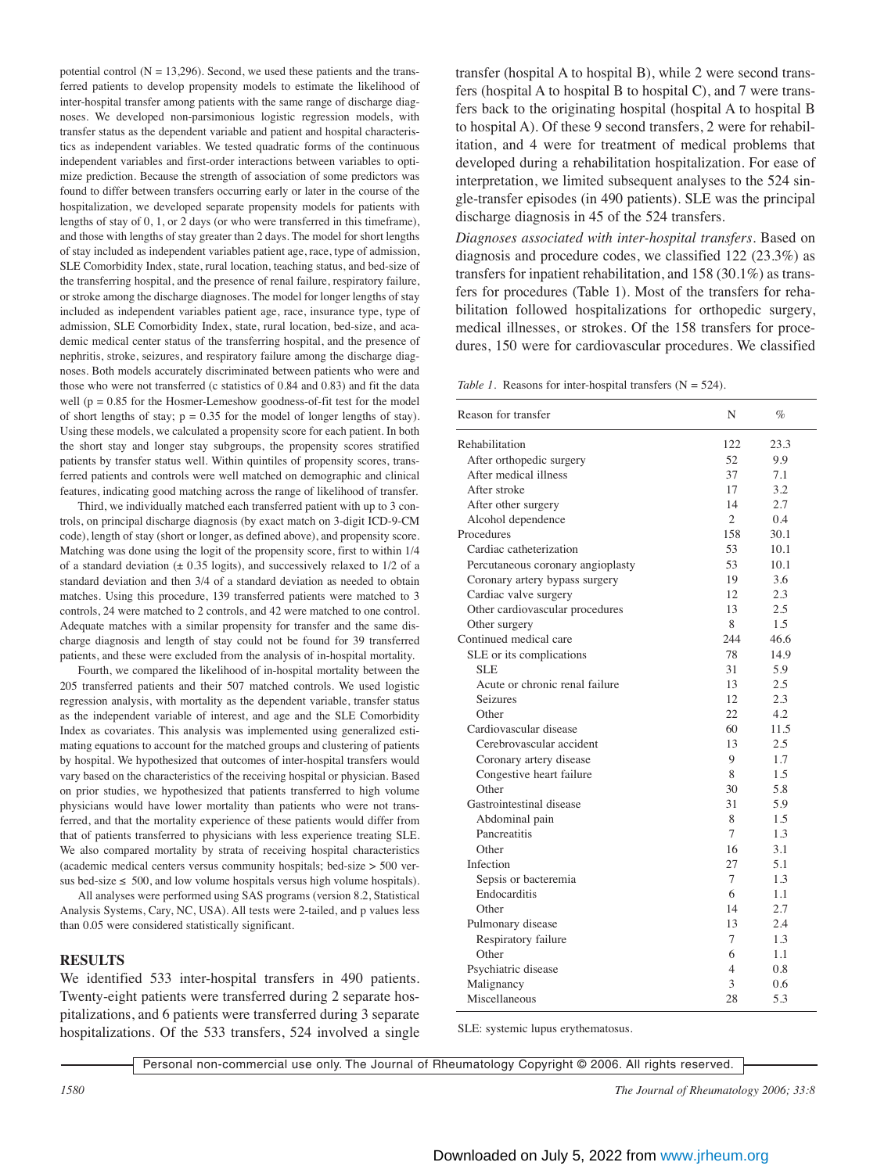potential control  $(N = 13,296)$ . Second, we used these patients and the transferred patients to develop propensity models to estimate the likelihood of inter-hospital transfer among patients with the same range of discharge diagnoses. We developed non-parsimonious logistic regression models, with transfer status as the dependent variable and patient and hospital characteristics as independent variables. We tested quadratic forms of the continuous independent variables and first-order interactions between variables to optimize prediction. Because the strength of association of some predictors was found to differ between transfers occurring early or later in the course of the hospitalization, we developed separate propensity models for patients with lengths of stay of 0, 1, or 2 days (or who were transferred in this timeframe), and those with lengths of stay greater than 2 days. The model for short lengths of stay included as independent variables patient age, race, type of admission, SLE Comorbidity Index, state, rural location, teaching status, and bed-size of the transferring hospital, and the presence of renal failure, respiratory failure, or stroke among the discharge diagnoses. The model for longer lengths of stay included as independent variables patient age, race, insurance type, type of admission, SLE Comorbidity Index, state, rural location, bed-size, and academic medical center status of the transferring hospital, and the presence of nephritis, stroke, seizures, and respiratory failure among the discharge diagnoses. Both models accurately discriminated between patients who were and those who were not transferred (c statistics of 0.84 and 0.83) and fit the data well ( $p = 0.85$  for the Hosmer-Lemeshow goodness-of-fit test for the model of short lengths of stay;  $p = 0.35$  for the model of longer lengths of stay). Using these models, we calculated a propensity score for each patient. In both the short stay and longer stay subgroups, the propensity scores stratified patients by transfer status well. Within quintiles of propensity scores, transferred patients and controls were well matched on demographic and clinical features, indicating good matching across the range of likelihood of transfer.

Third, we individually matched each transferred patient with up to 3 controls, on principal discharge diagnosis (by exact match on 3-digit ICD-9-CM code), length of stay (short or longer, as defined above), and propensity score. Matching was done using the logit of the propensity score, first to within 1/4 of a standard deviation  $(\pm 0.35 \text{ logits})$ , and successively relaxed to 1/2 of a standard deviation and then 3/4 of a standard deviation as needed to obtain matches. Using this procedure, 139 transferred patients were matched to 3 controls, 24 were matched to 2 controls, and 42 were matched to one control. Adequate matches with a similar propensity for transfer and the same discharge diagnosis and length of stay could not be found for 39 transferred patients, and these were excluded from the analysis of in-hospital mortality.

Fourth, we compared the likelihood of in-hospital mortality between the 205 transferred patients and their 507 matched controls. We used logistic regression analysis, with mortality as the dependent variable, transfer status as the independent variable of interest, and age and the SLE Comorbidity Index as covariates. This analysis was implemented using generalized estimating equations to account for the matched groups and clustering of patients by hospital. We hypothesized that outcomes of inter-hospital transfers would vary based on the characteristics of the receiving hospital or physician. Based on prior studies, we hypothesized that patients transferred to high volume physicians would have lower mortality than patients who were not transferred, and that the mortality experience of these patients would differ from that of patients transferred to physicians with less experience treating SLE. We also compared mortality by strata of receiving hospital characteristics (academic medical centers versus community hospitals; bed-size > 500 versus bed-size  $\leq 500$ , and low volume hospitals versus high volume hospitals).

All analyses were performed using SAS programs (version 8.2, Statistical Analysis Systems, Cary, NC, USA). All tests were 2-tailed, and p values less than 0.05 were considered statistically significant.

#### **RESULTS**

We identified 533 inter-hospital transfers in 490 patients. Twenty-eight patients were transferred during 2 separate hospitalizations, and 6 patients were transferred during 3 separate hospitalizations. Of the 533 transfers, 524 involved a single transfer (hospital A to hospital B), while 2 were second transfers (hospital A to hospital B to hospital C), and 7 were transfers back to the originating hospital (hospital A to hospital B to hospital A). Of these 9 second transfers, 2 were for rehabilitation, and 4 were for treatment of medical problems that developed during a rehabilitation hospitalization. For ease of interpretation, we limited subsequent analyses to the 524 single-transfer episodes (in 490 patients). SLE was the principal discharge diagnosis in 45 of the 524 transfers.

*Diagnoses associated with inter-hospital transfers.* Based on diagnosis and procedure codes, we classified 122 (23.3%) as transfers for inpatient rehabilitation, and 158 (30.1%) as transfers for procedures (Table 1). Most of the transfers for rehabilitation followed hospitalizations for orthopedic surgery, medical illnesses, or strokes. Of the 158 transfers for procedures, 150 were for cardiovascular procedures. We classified

*Table 1.* Reasons for inter-hospital transfers (N = 524).

| Reason for transfer               | N              | $\%$ |
|-----------------------------------|----------------|------|
| Rehabilitation                    | 122            | 23.3 |
| After orthopedic surgery          | 52             | 9.9  |
| After medical illness             | 37             | 7.1  |
| After stroke                      | 17             | 3.2  |
| After other surgery               | 14             | 2.7  |
| Alcohol dependence                | $\overline{c}$ | 04   |
| Procedures                        | 158            | 30.1 |
| Cardiac catheterization           | 53             | 10.1 |
| Percutaneous coronary angioplasty | 53             | 10.1 |
| Coronary artery bypass surgery    | 19             | 3.6  |
| Cardiac valve surgery             | 12             | 2.3  |
| Other cardiovascular procedures   | 13             | 2.5  |
| Other surgery                     | 8              | 1.5  |
| Continued medical care            | 244            | 46.6 |
| SLE or its complications          | 78             | 14.9 |
| <b>SLE</b>                        | 31             | 5.9  |
| Acute or chronic renal failure    | 13             | 2.5  |
| Seizures                          | 12             | 2.3  |
| Other                             | 22             | 4.2  |
| Cardiovascular disease            | 60             | 11.5 |
| Cerebrovascular accident          | 13             | 2.5  |
| Coronary artery disease           | 9              | 1.7  |
| Congestive heart failure          | 8              | 1.5  |
| Other                             | 30             | 5.8  |
| Gastrointestinal disease          | 31             | 5.9  |
| Abdominal pain                    | 8              | 1.5  |
| Pancreatitis                      | 7              | 1.3  |
| Other                             | 16             | 3.1  |
| Infection                         | 27             | 5.1  |
| Sepsis or bacteremia              | 7              | 1.3  |
| Endocarditis                      | 6              | 1.1  |
| Other                             | 14             | 2.7  |
| Pulmonary disease                 | 13             | 2.4  |
| Respiratory failure               | 7              | 1.3  |
| Other                             | 6              | 1.1  |
| Psychiatric disease               | 4              | 0.8  |
| Malignancy                        | 3              | 0.6  |
| Miscellaneous                     | 28             | 5.3  |

SLE: systemic lupus erythematosus.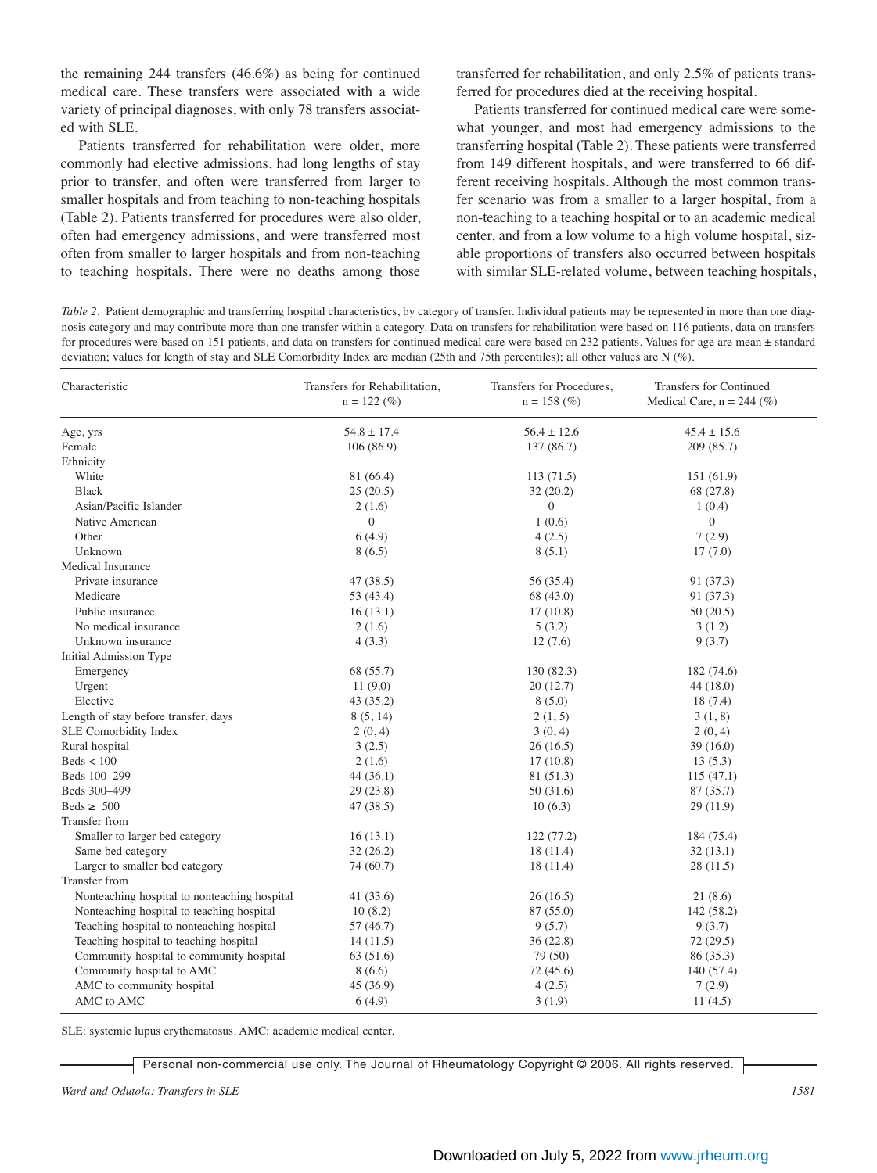the remaining 244 transfers (46.6%) as being for continued medical care. These transfers were associated with a wide variety of principal diagnoses, with only 78 transfers associated with SLE.

Patients transferred for rehabilitation were older, more commonly had elective admissions, had long lengths of stay prior to transfer, and often were transferred from larger to smaller hospitals and from teaching to non-teaching hospitals (Table 2). Patients transferred for procedures were also older, often had emergency admissions, and were transferred most often from smaller to larger hospitals and from non-teaching to teaching hospitals. There were no deaths among those

transferred for rehabilitation, and only 2.5% of patients transferred for procedures died at the receiving hospital.

Patients transferred for continued medical care were somewhat younger, and most had emergency admissions to the transferring hospital (Table 2). These patients were transferred from 149 different hospitals, and were transferred to 66 different receiving hospitals. Although the most common transfer scenario was from a smaller to a larger hospital, from a non-teaching to a teaching hospital or to an academic medical center, and from a low volume to a high volume hospital, sizable proportions of transfers also occurred between hospitals with similar SLE-related volume, between teaching hospitals,

*Table 2.* Patient demographic and transferring hospital characteristics, by category of transfer. Individual patients may be represented in more than one diagnosis category and may contribute more than one transfer within a category. Data on transfers for rehabilitation were based on 116 patients, data on transfers for procedures were based on 151 patients, and data on transfers for continued medical care were based on 232 patients. Values for age are mean ± standard deviation; values for length of stay and SLE Comorbidity Index are median (25th and 75th percentiles); all other values are N (%).

| Characteristic                               | Transfers for Rehabilitation,<br>$n = 122 \, (\%)$ | Transfers for Procedures,<br>$n = 158$ (%) | Transfers for Continued<br>Medical Care, $n = 244$ (%) |  |
|----------------------------------------------|----------------------------------------------------|--------------------------------------------|--------------------------------------------------------|--|
| Age, yrs                                     | $54.8 \pm 17.4$                                    | $56.4 \pm 12.6$                            | $45.4 \pm 15.6$                                        |  |
| Female                                       | 106(86.9)                                          | 137 (86.7)                                 | 209 (85.7)                                             |  |
| Ethnicity                                    |                                                    |                                            |                                                        |  |
| White                                        | 81 (66.4)                                          | 113(71.5)                                  | 151(61.9)                                              |  |
| <b>Black</b>                                 | 25(20.5)                                           | 32(20.2)                                   | 68 (27.8)                                              |  |
| Asian/Pacific Islander                       | 2(1.6)                                             | $\overline{0}$                             | 1(0.4)                                                 |  |
| Native American                              | $\overline{0}$                                     | 1(0.6)                                     | $\mathbf{0}$                                           |  |
| Other                                        | 6(4.9)                                             | 4(2.5)                                     | 7(2.9)                                                 |  |
| Unknown                                      | 8(6.5)                                             | 8(5.1)                                     | 17(7.0)                                                |  |
| <b>Medical Insurance</b>                     |                                                    |                                            |                                                        |  |
| Private insurance                            | 47 (38.5)                                          | 56 (35.4)                                  | 91 (37.3)                                              |  |
| Medicare                                     | 53 (43.4)                                          | 68 (43.0)                                  | 91 (37.3)                                              |  |
| Public insurance                             | 16(13.1)                                           | 17(10.8)                                   | 50(20.5)                                               |  |
| No medical insurance                         | 2(1.6)                                             | 5(3.2)                                     | 3(1.2)                                                 |  |
| Unknown insurance                            | 4(3.3)                                             | 12(7.6)                                    | 9(3.7)                                                 |  |
| Initial Admission Type                       |                                                    |                                            |                                                        |  |
| Emergency                                    | 68 (55.7)                                          | 130(82.3)                                  | 182 (74.6)                                             |  |
| Urgent                                       | 11(9.0)                                            | 20(12.7)                                   | 44 (18.0)                                              |  |
| Elective                                     | 43 (35.2)                                          | 8(5.0)                                     | 18 (7.4)                                               |  |
| Length of stay before transfer, days         | 8(5, 14)                                           | 2(1, 5)                                    | 3(1, 8)                                                |  |
| SLE Comorbidity Index                        | 2(0, 4)                                            | 3(0, 4)                                    | 2(0, 4)                                                |  |
| Rural hospital                               | 3(2.5)                                             | 26(16.5)                                   | 39 (16.0)                                              |  |
| $\text{Beds} < 100$                          | 2(1.6)                                             | 17(10.8)                                   | 13(5.3)                                                |  |
| Beds 100-299                                 | 44(36.1)                                           | 81 (51.3)                                  | 115(47.1)                                              |  |
| Beds 300-499                                 | 29(23.8)                                           | 50(31.6)                                   | 87 (35.7)                                              |  |
| Beds $\geq 500$                              | 47(38.5)                                           | 10(6.3)                                    | 29 (11.9)                                              |  |
| <b>Transfer from</b>                         |                                                    |                                            |                                                        |  |
| Smaller to larger bed category               | 16(13.1)                                           | 122(77.2)                                  | 184 (75.4)                                             |  |
| Same bed category                            | 32(26.2)                                           | 18(11.4)                                   | 32(13.1)                                               |  |
| Larger to smaller bed category               | 74 (60.7)                                          | 18 (11.4)                                  | 28 (11.5)                                              |  |
| Transfer from                                |                                                    |                                            |                                                        |  |
| Nonteaching hospital to nonteaching hospital | 41 (33.6)                                          | 26(16.5)                                   | 21(8.6)                                                |  |
| Nonteaching hospital to teaching hospital    | 10(8.2)                                            | 87 (55.0)                                  | 142 (58.2)                                             |  |
| Teaching hospital to nonteaching hospital    | 57 (46.7)                                          | 9(5.7)                                     | 9(3.7)                                                 |  |
| Teaching hospital to teaching hospital       | 14(11.5)                                           | 36(22.8)                                   | 72(29.5)                                               |  |
| Community hospital to community hospital     | 63(51.6)                                           | 79 (50)                                    | 86 (35.3)                                              |  |
| Community hospital to AMC                    | 8(6.6)                                             | 72 (45.6)                                  | 140 (57.4)                                             |  |
| AMC to community hospital                    | 45 (36.9)                                          | 4(2.5)                                     | 7(2.9)                                                 |  |
| AMC to AMC                                   | 6(4.9)                                             | 3(1.9)                                     | 11(4.5)                                                |  |

SLE: systemic lupus erythematosus. AMC: academic medical center.

Personal non-commercial use only. The Journal of Rheumatology Copyright © 2006. All rights reserved.

*Ward and Odutola: Transfers in SLE 1581*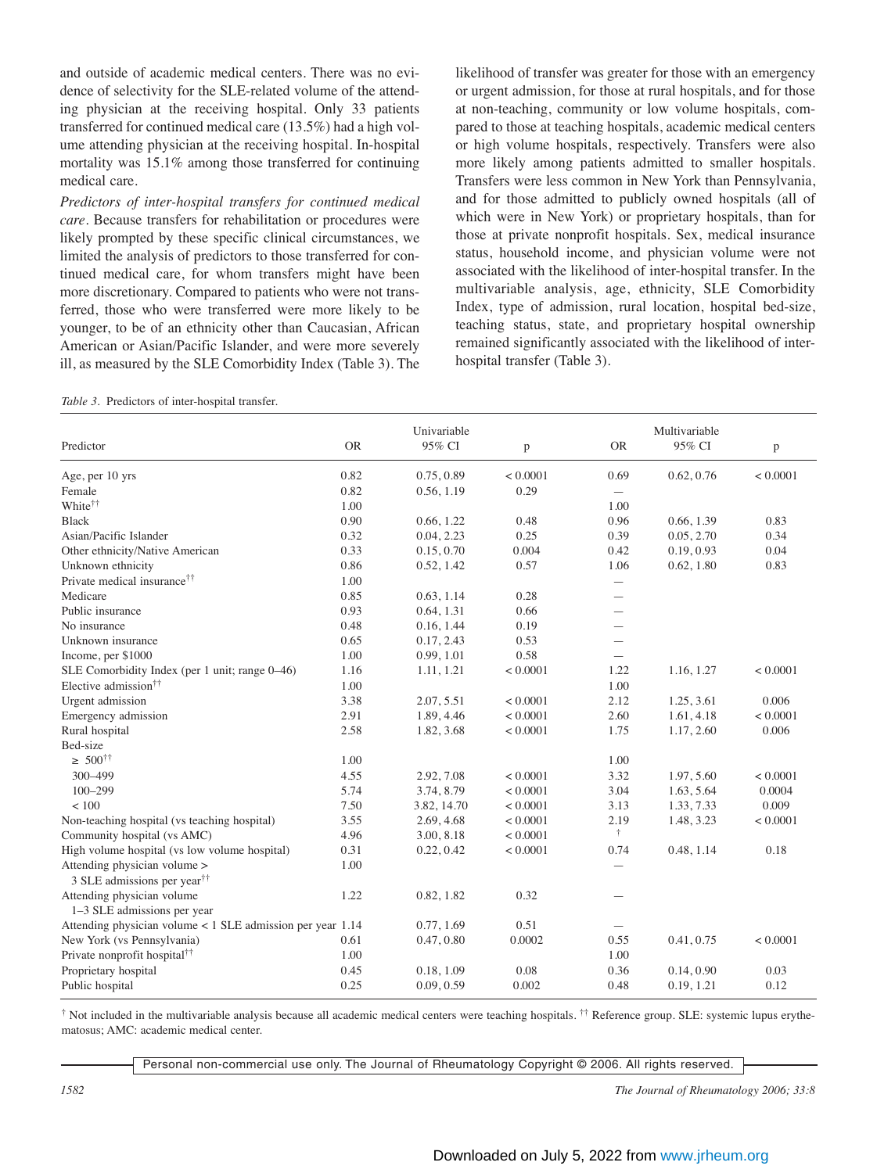and outside of academic medical centers. There was no evidence of selectivity for the SLE-related volume of the attending physician at the receiving hospital. Only 33 patients transferred for continued medical care (13.5%) had a high volume attending physician at the receiving hospital. In-hospital mortality was 15.1% among those transferred for continuing medical care.

*Predictors of inter-hospital transfers for continued medical care.* Because transfers for rehabilitation or procedures were likely prompted by these specific clinical circumstances, we limited the analysis of predictors to those transferred for continued medical care, for whom transfers might have been more discretionary. Compared to patients who were not transferred, those who were transferred were more likely to be younger, to be of an ethnicity other than Caucasian, African American or Asian/Pacific Islander, and were more severely ill, as measured by the SLE Comorbidity Index (Table 3). The

*Table 3.* Predictors of inter-hospital transfer.

likelihood of transfer was greater for those with an emergency or urgent admission, for those at rural hospitals, and for those at non-teaching, community or low volume hospitals, compared to those at teaching hospitals, academic medical centers or high volume hospitals, respectively. Transfers were also more likely among patients admitted to smaller hospitals. Transfers were less common in New York than Pennsylvania, and for those admitted to publicly owned hospitals (all of which were in New York) or proprietary hospitals, than for those at private nonprofit hospitals. Sex, medical insurance status, household income, and physician volume were not associated with the likelihood of inter-hospital transfer. In the multivariable analysis, age, ethnicity, SLE Comorbidity Index, type of admission, rural location, hospital bed-size, teaching status, state, and proprietary hospital ownership remained significantly associated with the likelihood of interhospital transfer (Table 3).

|                                                                         | Univariable |             | Multivariable |                          |            |             |
|-------------------------------------------------------------------------|-------------|-------------|---------------|--------------------------|------------|-------------|
| Predictor                                                               | <b>OR</b>   | 95% CI      | p             | <b>OR</b>                | 95% CI     | $\mathbf p$ |
| Age, per 10 yrs                                                         | 0.82        | 0.75, 0.89  | < 0.0001      | 0.69                     | 0.62, 0.76 | < 0.0001    |
| Female                                                                  | 0.82        | 0.56, 1.19  | 0.29          |                          |            |             |
| White <sup>††</sup>                                                     | 1.00        |             |               | 1.00                     |            |             |
| <b>Black</b>                                                            | 0.90        | 0.66, 1.22  | 0.48          | 0.96                     | 0.66, 1.39 | 0.83        |
| Asian/Pacific Islander                                                  | 0.32        | 0.04, 2.23  | 0.25          | 0.39                     | 0.05, 2.70 | 0.34        |
| Other ethnicity/Native American                                         | 0.33        | 0.15, 0.70  | 0.004         | 0.42                     | 0.19, 0.93 | 0.04        |
| Unknown ethnicity                                                       | 0.86        | 0.52, 1.42  | 0.57          | 1.06                     | 0.62, 1.80 | 0.83        |
| Private medical insurance <sup>††</sup>                                 | 1.00        |             |               | $\overline{\phantom{0}}$ |            |             |
| Medicare                                                                | 0.85        | 0.63, 1.14  | 0.28          | $\overline{\phantom{0}}$ |            |             |
| Public insurance                                                        | 0.93        | 0.64, 1.31  | 0.66          | $\overline{\phantom{0}}$ |            |             |
| No insurance                                                            | 0.48        | 0.16, 1.44  | 0.19          |                          |            |             |
| Unknown insurance                                                       | 0.65        | 0.17, 2.43  | 0.53          | $\overline{\phantom{0}}$ |            |             |
| Income, per \$1000                                                      | 1.00        | 0.99, 1.01  | 0.58          |                          |            |             |
| SLE Comorbidity Index (per 1 unit; range 0–46)                          | 1.16        | 1.11, 1.21  | < 0.0001      | 1.22                     | 1.16, 1.27 | < 0.0001    |
| Elective admission <sup>††</sup>                                        | 1.00        |             |               | 1.00                     |            |             |
| Urgent admission                                                        | 3.38        | 2.07, 5.51  | < 0.0001      | 2.12                     | 1.25, 3.61 | 0.006       |
| Emergency admission                                                     | 2.91        | 1.89, 4.46  | < 0.0001      | 2.60                     | 1.61, 4.18 | < 0.0001    |
| Rural hospital                                                          | 2.58        | 1.82, 3.68  | < 0.0001      | 1.75                     | 1.17, 2.60 | 0.006       |
| Bed-size                                                                |             |             |               |                          |            |             |
| $\geq 500^{++}$                                                         | 1.00        |             |               | 1.00                     |            |             |
| 300-499                                                                 | 4.55        | 2.92, 7.08  | < 0.0001      | 3.32                     | 1.97, 5.60 | < 0.0001    |
| $100 - 299$                                                             | 5.74        | 3.74, 8.79  | < 0.0001      | 3.04                     | 1.63, 5.64 | 0.0004      |
| < 100                                                                   | 7.50        | 3.82, 14.70 | < 0.0001      | 3.13                     | 1.33, 7.33 | 0.009       |
| Non-teaching hospital (vs teaching hospital)                            | 3.55        | 2.69, 4.68  | < 0.0001      | 2.19                     | 1.48, 3.23 | < 0.0001    |
| Community hospital (vs AMC)                                             | 4.96        | 3.00, 8.18  | < 0.0001      | $\ddagger$               |            |             |
| High volume hospital (vs low volume hospital)                           | 0.31        | 0.22, 0.42  | < 0.0001      | 0.74                     | 0.48, 1.14 | 0.18        |
| Attending physician volume ><br>3 SLE admissions per year <sup>††</sup> | 1.00        |             |               |                          |            |             |
| Attending physician volume<br>1-3 SLE admissions per year               | 1.22        | 0.82, 1.82  | 0.32          |                          |            |             |
| Attending physician volume < 1 SLE admission per year 1.14              |             | 0.77, 1.69  | 0.51          |                          |            |             |
| New York (vs Pennsylvania)                                              | 0.61        | 0.47, 0.80  | 0.0002        | 0.55                     | 0.41, 0.75 | < 0.0001    |
| Private nonprofit hospital <sup>††</sup>                                | 1.00        |             |               | 1.00                     |            |             |
| Proprietary hospital                                                    | 0.45        | 0.18, 1.09  | 0.08          | 0.36                     | 0.14, 0.90 | 0.03        |
| Public hospital                                                         | 0.25        | 0.09, 0.59  | 0.002         | 0.48                     | 0.19, 1.21 | 0.12        |

 $\dagger$  Not included in the multivariable analysis because all academic medical centers were teaching hospitals.  $\dagger$  Reference group. SLE: systemic lupus erythematosus; AMC: academic medical center.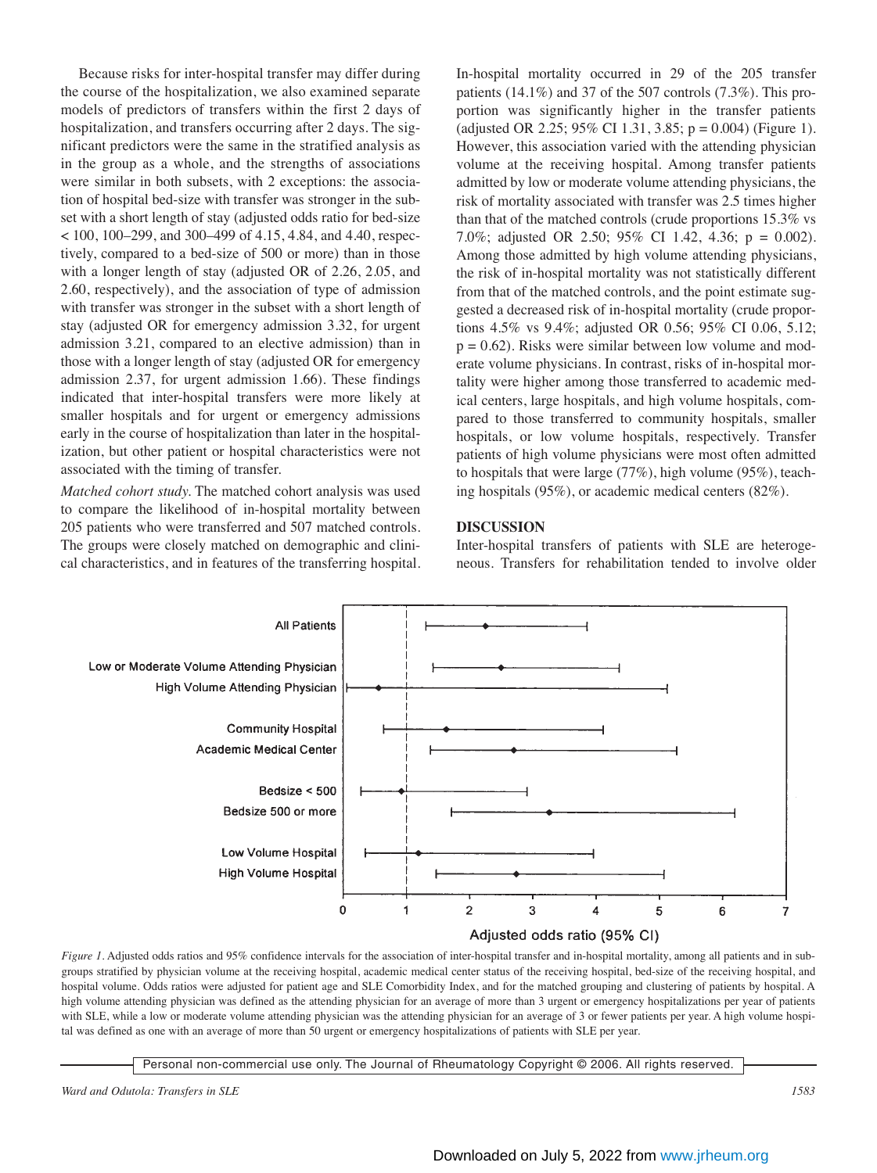Because risks for inter-hospital transfer may differ during the course of the hospitalization, we also examined separate models of predictors of transfers within the first 2 days of hospitalization, and transfers occurring after 2 days. The significant predictors were the same in the stratified analysis as in the group as a whole, and the strengths of associations were similar in both subsets, with 2 exceptions: the association of hospital bed-size with transfer was stronger in the subset with a short length of stay (adjusted odds ratio for bed-size < 100, 100–299, and 300–499 of 4.15, 4.84, and 4.40, respectively, compared to a bed-size of 500 or more) than in those with a longer length of stay (adjusted OR of 2.26, 2.05, and 2.60, respectively), and the association of type of admission with transfer was stronger in the subset with a short length of stay (adjusted OR for emergency admission 3.32, for urgent admission 3.21, compared to an elective admission) than in those with a longer length of stay (adjusted OR for emergency admission 2.37, for urgent admission 1.66). These findings indicated that inter-hospital transfers were more likely at smaller hospitals and for urgent or emergency admissions early in the course of hospitalization than later in the hospitalization, but other patient or hospital characteristics were not associated with the timing of transfer.

*Matched cohort study.* The matched cohort analysis was used to compare the likelihood of in-hospital mortality between 205 patients who were transferred and 507 matched controls. The groups were closely matched on demographic and clinical characteristics, and in features of the transferring hospital. In-hospital mortality occurred in 29 of the 205 transfer patients (14.1%) and 37 of the 507 controls (7.3%). This proportion was significantly higher in the transfer patients (adjusted OR 2.25; 95% CI 1.31, 3.85;  $p = 0.004$ ) (Figure 1). However, this association varied with the attending physician volume at the receiving hospital. Among transfer patients admitted by low or moderate volume attending physicians, the risk of mortality associated with transfer was 2.5 times higher than that of the matched controls (crude proportions 15.3% vs 7.0%; adjusted OR 2.50; 95% CI 1.42, 4.36; p = 0.002). Among those admitted by high volume attending physicians, the risk of in-hospital mortality was not statistically different from that of the matched controls, and the point estimate suggested a decreased risk of in-hospital mortality (crude proportions 4.5% vs 9.4%; adjusted OR 0.56; 95% CI 0.06, 5.12;  $p = 0.62$ ). Risks were similar between low volume and moderate volume physicians. In contrast, risks of in-hospital mortality were higher among those transferred to academic medical centers, large hospitals, and high volume hospitals, compared to those transferred to community hospitals, smaller hospitals, or low volume hospitals, respectively. Transfer patients of high volume physicians were most often admitted to hospitals that were large (77%), high volume (95%), teaching hospitals (95%), or academic medical centers (82%).

#### **DISCUSSION**

Inter-hospital transfers of patients with SLE are heterogeneous. Transfers for rehabilitation tended to involve older



*Figure 1.* Adjusted odds ratios and 95% confidence intervals for the association of inter-hospital transfer and in-hospital mortality, among all patients and in subgroups stratified by physician volume at the receiving hospital, academic medical center status of the receiving hospital, bed-size of the receiving hospital, and hospital volume. Odds ratios were adjusted for patient age and SLE Comorbidity Index, and for the matched grouping and clustering of patients by hospital. A high volume attending physician was defined as the attending physician for an average of more than 3 urgent or emergency hospitalizations per year of patients with SLE, while a low or moderate volume attending physician was the attending physician for an average of 3 or fewer patients per year. A high volume hospital was defined as one with an average of more than 50 urgent or emergency hospitalizations of patients with SLE per year.

Personal non-commercial use only. The Journal of Rheumatology Copyright © 2006. All rights reserved.

*Ward and Odutola: Transfers in SLE 1583*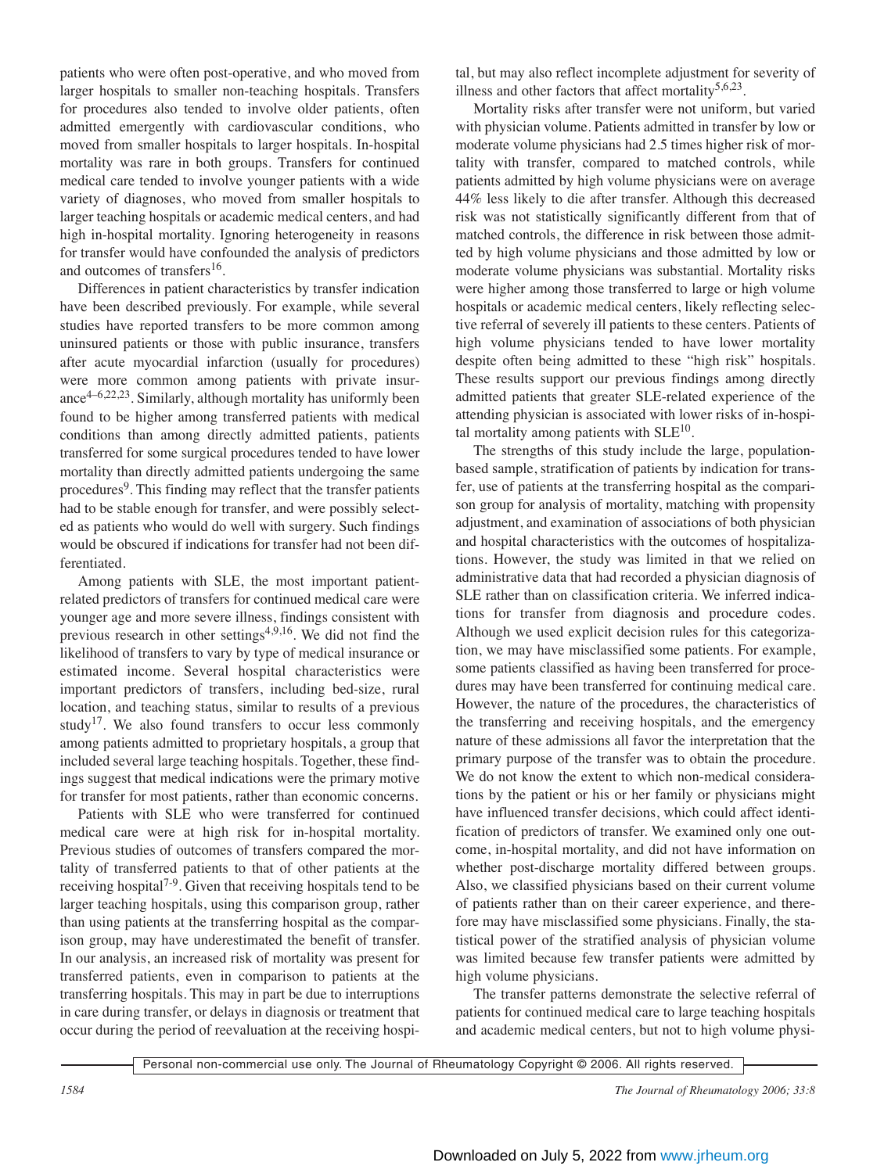patients who were often post-operative, and who moved from larger hospitals to smaller non-teaching hospitals. Transfers for procedures also tended to involve older patients, often admitted emergently with cardiovascular conditions, who moved from smaller hospitals to larger hospitals. In-hospital mortality was rare in both groups. Transfers for continued medical care tended to involve younger patients with a wide variety of diagnoses, who moved from smaller hospitals to larger teaching hospitals or academic medical centers, and had high in-hospital mortality. Ignoring heterogeneity in reasons for transfer would have confounded the analysis of predictors and outcomes of transfers<sup>16</sup>.

Differences in patient characteristics by transfer indication have been described previously. For example, while several studies have reported transfers to be more common among uninsured patients or those with public insurance, transfers after acute myocardial infarction (usually for procedures) were more common among patients with private insurance4–6,22,23. Similarly, although mortality has uniformly been found to be higher among transferred patients with medical conditions than among directly admitted patients, patients transferred for some surgical procedures tended to have lower mortality than directly admitted patients undergoing the same procedures<sup>9</sup>. This finding may reflect that the transfer patients had to be stable enough for transfer, and were possibly selected as patients who would do well with surgery. Such findings would be obscured if indications for transfer had not been differentiated.

Among patients with SLE, the most important patientrelated predictors of transfers for continued medical care were younger age and more severe illness, findings consistent with previous research in other settings<sup> $4,9,16$ </sup>. We did not find the likelihood of transfers to vary by type of medical insurance or estimated income. Several hospital characteristics were important predictors of transfers, including bed-size, rural location, and teaching status, similar to results of a previous study<sup>17</sup>. We also found transfers to occur less commonly among patients admitted to proprietary hospitals, a group that included several large teaching hospitals. Together, these findings suggest that medical indications were the primary motive for transfer for most patients, rather than economic concerns.

Patients with SLE who were transferred for continued medical care were at high risk for in-hospital mortality. Previous studies of outcomes of transfers compared the mortality of transferred patients to that of other patients at the receiving hospital7-9. Given that receiving hospitals tend to be larger teaching hospitals, using this comparison group, rather than using patients at the transferring hospital as the comparison group, may have underestimated the benefit of transfer. In our analysis, an increased risk of mortality was present for transferred patients, even in comparison to patients at the transferring hospitals. This may in part be due to interruptions in care during transfer, or delays in diagnosis or treatment that occur during the period of reevaluation at the receiving hospital, but may also reflect incomplete adjustment for severity of illness and other factors that affect mortality<sup>5,6,23</sup>.

Mortality risks after transfer were not uniform, but varied with physician volume. Patients admitted in transfer by low or moderate volume physicians had 2.5 times higher risk of mortality with transfer, compared to matched controls, while patients admitted by high volume physicians were on average 44% less likely to die after transfer. Although this decreased risk was not statistically significantly different from that of matched controls, the difference in risk between those admitted by high volume physicians and those admitted by low or moderate volume physicians was substantial. Mortality risks were higher among those transferred to large or high volume hospitals or academic medical centers, likely reflecting selective referral of severely ill patients to these centers. Patients of high volume physicians tended to have lower mortality despite often being admitted to these "high risk" hospitals. These results support our previous findings among directly admitted patients that greater SLE-related experience of the attending physician is associated with lower risks of in-hospital mortality among patients with  $SLE<sup>10</sup>$ .

The strengths of this study include the large, populationbased sample, stratification of patients by indication for transfer, use of patients at the transferring hospital as the comparison group for analysis of mortality, matching with propensity adjustment, and examination of associations of both physician and hospital characteristics with the outcomes of hospitalizations. However, the study was limited in that we relied on administrative data that had recorded a physician diagnosis of SLE rather than on classification criteria. We inferred indications for transfer from diagnosis and procedure codes. Although we used explicit decision rules for this categorization, we may have misclassified some patients. For example, some patients classified as having been transferred for procedures may have been transferred for continuing medical care. However, the nature of the procedures, the characteristics of the transferring and receiving hospitals, and the emergency nature of these admissions all favor the interpretation that the primary purpose of the transfer was to obtain the procedure. We do not know the extent to which non-medical considerations by the patient or his or her family or physicians might have influenced transfer decisions, which could affect identification of predictors of transfer. We examined only one outcome, in-hospital mortality, and did not have information on whether post-discharge mortality differed between groups. Also, we classified physicians based on their current volume of patients rather than on their career experience, and therefore may have misclassified some physicians. Finally, the statistical power of the stratified analysis of physician volume was limited because few transfer patients were admitted by high volume physicians.

The transfer patterns demonstrate the selective referral of patients for continued medical care to large teaching hospitals and academic medical centers, but not to high volume physi-